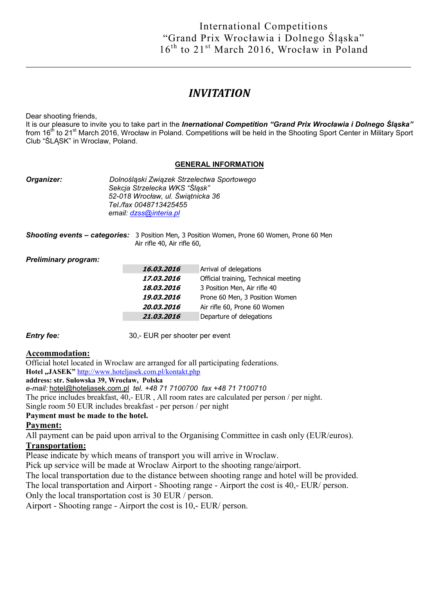# *INVITATION*

Dear shooting friends,

It is our pleasure to invite you to take part in the *Inernational Competition "Grand Prix Wrocławia i Dolnego Śląska"*  from 16<sup>th</sup> to 21<sup>st</sup> March 2016, Wrocław in Poland. Competitions will be held in the Shooting Sport Center in Military Sport Club "ŚLĄSK" in Wroclaw, Poland.

#### GENERAL INFORMATION

| Organizer: | Dolnośląski Związek Strzelectwa Sportowego<br>Sekcja Strzelecka WKS "Śląsk"<br>52-018 Wrocław, ul. Świątnicka 36<br>Tel./fax 0048713425455<br>email: dzss@interia.pl |
|------------|----------------------------------------------------------------------------------------------------------------------------------------------------------------------|
|            |                                                                                                                                                                      |

*Shooting events – categories:* 3 Position Men, 3 Position Women, Prone 60 Women, Prone 60 Men Air rifle 40, Air rifle 60,

#### *Preliminary program:*

| 16,03,2016 | Arrival of delegations               |  |
|------------|--------------------------------------|--|
| 17,03,2016 | Official training, Technical meeting |  |
| 18,03,2016 | 3 Position Men, Air rifle 40         |  |
| 19.03.2016 | Prone 60 Men, 3 Position Women       |  |
| 20.03.2016 | Air rifle 60, Prone 60 Women         |  |
| 21,03,2016 | Departure of delegations             |  |

*Entry fee:* 30,- EUR per shooter per event

### Accommodation:

Official hotel located in Wroclaw are arranged for all participating federations. Hotel "JASEK" http://www.hoteljasek.com.pl/kontakt.php address: str. Sułowska 39, Wrocław, Polska *e-mail:* hotel@hoteljasek.com.pl *tel. +48 71 7100700 fax +48 71 7100710* The price includes breakfast, 40,- EUR , All room rates are calculated per person / per night. Single room 50 EUR includes breakfast - per person / per night

### Payment must be made to the hotel.

### Payment:

All payment can be paid upon arrival to the Organising Committee in cash only (EUR/euros).

## Transportation:

Please indicate by which means of transport you will arrive in Wroclaw.

Pick up service will be made at Wroclaw Airport to the shooting range/airport.

The local transportation due to the distance between shooting range and hotel will be provided.

The local transportation and Airport - Shooting range - Airport the cost is 40,- EUR/ person.

Only the local transportation cost is 30 EUR / person.

Airport - Shooting range - Airport the cost is 10,- EUR/ person.